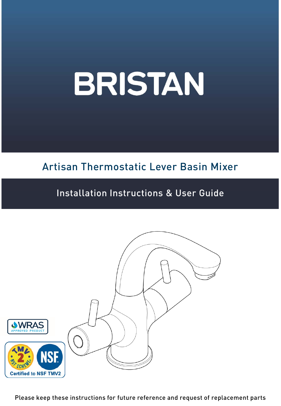# Artisan Thermostatic Lever Basin Mixer

## Installation Instructions & User Guide



Please keep these instructions for future reference and request of replacement parts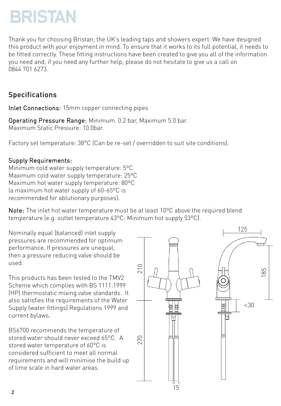Thank you for choosing Bristan, the UK's leading taps and showers expert. We have designed this product with your enjoyment in mind. To ensure that it works to its full potential, it needs to be fitted correctly. These fitting instructions have been created to give you all of the information you need and, if you need any further help, please do not hesitate to give us a call on 0844 701 6273.

### Specifications

Inlet Connections: 15mm copper connecting pipes

Operating Pressure Range: Minimum. 0.2 bar, Maximum 5.0 bar. Maximum Static Pressure: 10.0bar.

Factory set temperature: 38°C (Can be re-set / overridden to suit site conditions).

#### Supply Requirements:

Minimum cold water supply temperature: 5ºC Maximum cold water supply temperature: 25ºC Maximum hot water supply temperature: 80ºC (a maximum hot water supply of 60-65ºC is recommended for ablutionary purposes).

Note: The inlet hot water temperature must be at least 10ºC above the required blend temperature (e.g. outlet temperature 43ºC: Minimum hot supply 53ºC).

Nominally equal (balanced) inlet supply pressures are recommended for optimum performance. If pressures are unequal, then a pressure reducing valve should be used.

This products has been tested to the TMV2 Scheme which complies with BS 1111:1999 (HP) thermostatic mixing valve standards. It also satisfies the requirements of the Water Supply (water fittings) Regulations 1999 and current bylaws.

BS6700 recommends the temperature of stored water should never exceed 65°C. A stored water temperature of 60°C is considered sufficient to meet all normal requirements and will minimise the build up of lime scale in hard water areas.

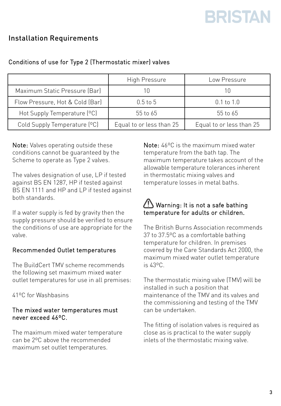### Installation Requirements

|                                 | High Pressure            | Low Pressure             |  |
|---------------------------------|--------------------------|--------------------------|--|
| Maximum Static Pressure (Bar)   |                          |                          |  |
| Flow Pressure, Hot & Cold (Bar) | $0.5$ to $5$             | $0.1$ to $1.0$           |  |
| Hot Supply Temperature [°C]     | 55 to 65                 | 55 to 65                 |  |
| Cold Supply Temperature (°C)    | Equal to or less than 25 | Equal to or less than 25 |  |

#### Conditions of use for Type 2 (Thermostatic mixer) valves

Note: Valves operating outside these conditions cannot be guaranteed by the Scheme to operate as Type 2 valves.

The valves designation of use, LP if tested against BS EN 1287, HP if tested against BS EN 1111 and HP and LP if tested against both standards.

If a water supply is fed by gravity then the supply pressure should be verified to ensure the conditions of use are appropriate for the valve.

#### Recommended Outlet temperatures

The BuildCert TMV scheme recommends the following set maximum mixed water outlet temperatures for use in all premises:

41ºC for Washbasins

#### The mixed water temperatures must never exceed 46ºC.

The maximum mixed water temperature can be 2ºC above the recommended maximum set outlet temperatures.

Note: 46ºC is the maximum mixed water temperature from the bath tap. The maximum temperature takes account of the allowable temperature tolerances inherent in thermostatic mixing valves and temperature losses in metal baths.

#### Warning: It is not a safe bathing temperature for adults or children.

The British Burns Association recommends 37 to 37.5ºC as a comfortable bathing temperature for children. In premises covered by the Care Standards Act 2000, the maximum mixed water outlet temperature is 43ºC.

The thermostatic mixing valve (TMV) will be installed in such a position that maintenance of the TMV and its valves and the commissioning and testing of the TMV can be undertaken.

The fitting of isolation valves is required as close as is practical to the water supply inlets of the thermostatic mixing valve.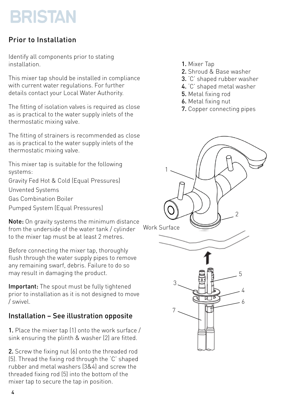### Prior to Installation

Identify all components prior to stating installation.

This mixer tap should be installed in compliance with current water regulations. For further details contact your Local Water Authority.

The fitting of isolation valves is required as close as is practical to the water supply inlets of the thermostatic mixing valve.

The fitting of strainers is recommended as close as is practical to the water supply inlets of the thermostatic mixing valve.

This mixer tap is suitable for the following systems:

Gravity Fed Hot & Cold (Equal Pressures)

Unvented Systems

Gas Combination Boiler

Pumped System (Equal Pressures)

Note: On gravity systems the minimum distance from the underside of the water tank / cylinder to the mixer tap must be at least 2 metres.

Before connecting the mixer tap, thoroughly flush through the water supply pipes to remove any remaining swarf, debris. Failure to do so may result in damaging the product.

**Important:** The spout must be fully tightened prior to installation as it is not designed to move / swivel.

### Installation – See illustration opposite

1. Place the mixer tap (1) onto the work surface / sink ensuring the plinth & washer (2) are fitted.

2. Screw the fixing nut (6) onto the threaded rod (5). Thread the fixing rod through the 'C' shaped rubber and metal washers (3&4) and screw the threaded fixing rod (5) into the bottom of the mixer tap to secure the tap in position.

- 1. Mixer Tap
- 2. Shroud & Base washer
- 3. 'C' shaped rubber washer
- 4. 'C' shaped metal washer
- 5. Metal fixing rod
- 6. Metal fixing nut
- 7. Copper connecting pipes

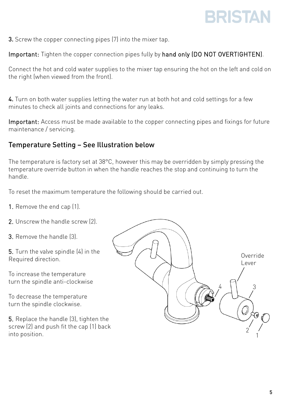**3.** Screw the copper connecting pipes (7) into the mixer tap.

Important: Tighten the copper connection pipes fully by hand only (DO NOT OVERTIGHTEN).

Connect the hot and cold water supplies to the mixer tap ensuring the hot on the left and cold on the right (when viewed from the front).

4. Turn on both water supplies letting the water run at both hot and cold settings for a few minutes to check all joints and connections for any leaks.

Important: Access must be made available to the copper connecting pipes and fixings for future maintenance / servicing.

#### Temperature Setting – See Illustration below

The temperature is factory set at 38°C, however this may be overridden by simply pressing the temperature override button in when the handle reaches the stop and continuing to turn the handle.

To reset the maximum temperature the following should be carried out.

- 1. Remove the end cap (1).
- 2. Unscrew the handle screw (2).
- 3. Remove the handle (3).

5. Turn the valve spindle (4) in the Required direction.

To increase the temperature turn the spindle anti-clockwise

To decrease the temperature turn the spindle clockwise.

5. Replace the handle (3), tighten the screw (2) and push fit the cap (1) back

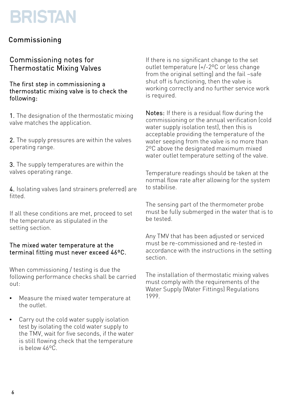#### Commissioning

#### Commissioning notes for Thermostatic Mixing Valves

The first step in commissioning a thermostatic mixing valve is to check the following:

1. The designation of the thermostatic mixing valve matches the application.

2. The supply pressures are within the valves operating range.

**3.** The supply temperatures are within the valves operating range.

4. Isolating valves (and strainers preferred) are fitted.

If all these conditions are met, proceed to set the temperature as stipulated in the setting section.

#### The mixed water temperature at the terminal fitting must never exceed 46ºC.

When commissioning / testing is due the following performance checks shall be carried out:

- Measure the mixed water temperature at the outlet.
- Carry out the cold water supply isolation test by isolating the cold water supply to the TMV, wait for five seconds, if the water is still flowing check that the temperature is below 46ºC.

If there is no significant change to the set outlet temperature (+/-2ºC or less change from the original setting) and the fail –safe shut off is functioning, then the valve is working correctly and no further service work is required.

Notes: If there is a residual flow during the commissioning or the annual verification (cold water supply isolation test), then this is acceptable providing the temperature of the water seeping from the valve is no more than 2ºC above the designated maximum mixed water outlet temperature setting of the valve.

Temperature readings should be taken at the normal flow rate after allowing for the system to stabilise.

The sensing part of the thermometer probe must be fully submerged in the water that is to be tested.

Any TMV that has been adjusted or serviced must be re-commissioned and re-tested in accordance with the instructions in the setting section.

The installation of thermostatic mixing valves must comply with the requirements of the Water Supply (Water Fittings) Regulations 1999.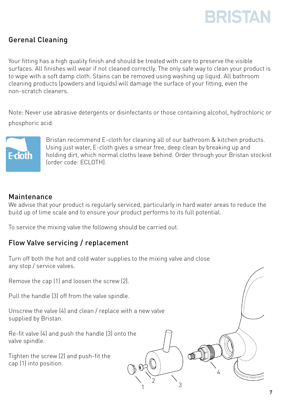

#### Gerenal Cleaning

Your fitting has a high quality finish and should be treated with care to preserve the visible surfaces. All finishes will wear if not cleaned correctly. The only safe way to clean your product is to wipe with a soft damp cloth. Stains can be removed using washing up liquid. All bathroom cleaning products (powders and liquids) will damage the surface of your fitting, even the non-scratch cleaners.

Note: Never use abrasive detergents or disinfectants or those containing alcohol, hydrochloric or phosphoric acid.



Bristan recommend E-cloth for cleaning all of our bathroom & kitchen products. Using just water, E-cloth gives a smear free, deep clean by breaking up and holding dirt, which normal cloths leave behind. Order through your Bristan stockist (order code: ECLOTH).

#### Maintenance

We advise that your product is regularly serviced, particularly in hard water areas to reduce the build up of lime scale and to ensure your product performs to its full potential.

1

2  $\qquad \qquad$  3

4

To service the mixing valve the following should be carried out.

#### Flow Valve servicing / replacement

Turn off both the hot and cold water supplies to the mixing valve and close any stop / service valves.

Remove the cap (1) and loosen the screw (2).

Pull the handle (3) off from the valve spindle.

Unscrew the valve (4) and clean / replace with a new valve supplied by Bristan.

Re-fit valve (4) and push the handle (3) onto the valve spindle.

Tighten the screw (2) and push-fit the cap (1) into position.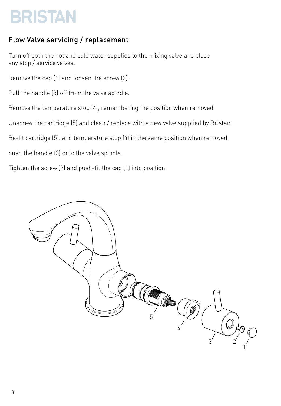### Flow Valve servicing / replacement

Turn off both the hot and cold water supplies to the mixing valve and close any stop / service valves.

Remove the cap (1) and loosen the screw (2).

Pull the handle (3) off from the valve spindle.

Remove the temperature stop (4), remembering the position when removed.

Unscrew the cartridge (5) and clean / replace with a new valve supplied by Bristan.

Re-fit cartridge (5), and temperature stop (4) in the same position when removed.

push the handle (3) onto the valve spindle.

Tighten the screw (2) and push-fit the cap (1) into position.

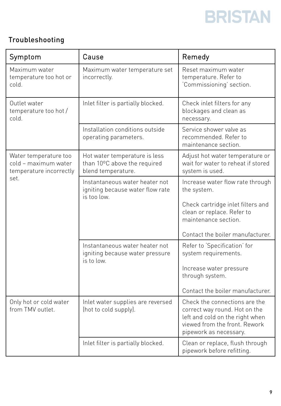### Troubleshooting

| Symptom                                                                          | Cause                                                                               | Remedy                                                                                                                                                                         |
|----------------------------------------------------------------------------------|-------------------------------------------------------------------------------------|--------------------------------------------------------------------------------------------------------------------------------------------------------------------------------|
| Maximum water<br>temperature too hot or<br>cold.                                 | Maximum water temperature set<br>incorrectly.                                       | Reset maximum water<br>temperature. Refer to<br>'Commissioning' section.                                                                                                       |
| Outlet water<br>temperature too hot /<br>cold.                                   | Inlet filter is partially blocked.                                                  | Check inlet filters for any<br>blockages and clean as<br>necessary.                                                                                                            |
|                                                                                  | Installation conditions outside<br>operating parameters.                            | Service shower valve as<br>recommended. Refer to<br>maintenance section.                                                                                                       |
| Water temperature too<br>cold - maximum water<br>temperature incorrectly<br>set. | Hot water temperature is less<br>than 10°C above the required<br>blend temperature. | Adjust hot water temperature or<br>wait for water to reheat if stored<br>system is used.                                                                                       |
|                                                                                  | Instantaneous water heater not<br>igniting because water flow rate<br>is too low.   | Increase water flow rate through<br>the system.<br>Check cartridge inlet filters and<br>clean or replace. Refer to<br>maintenance section.<br>Contact the boiler manufacturer. |
|                                                                                  | Instantaneous water heater not<br>igniting because water pressure<br>is to low.     | Refer to 'Specification' for<br>system requirements.<br>Increase water pressure<br>through system.<br>Contact the boiler manufacturer.                                         |
| Only hot or cold water<br>from TMV outlet.                                       | Inlet water supplies are reversed<br>(hot to cold supply).                          | Check the connections are the<br>correct way round. Hot on the<br>left and cold on the right when<br>viewed from the front. Rework<br>pipework as necessary.                   |
|                                                                                  | Inlet filter is partially blocked.                                                  | Clean or replace, flush through<br>pipework before refitting.                                                                                                                  |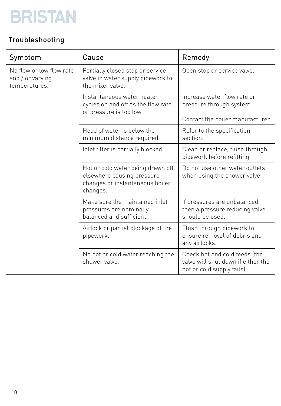### Troubleshooting

| Symptom                                                       | Cause                                                                                                          | Remedy                                                                                            |
|---------------------------------------------------------------|----------------------------------------------------------------------------------------------------------------|---------------------------------------------------------------------------------------------------|
| No flow or low flow rate<br>and / or varying<br>temperatures. | Partially closed stop or service<br>valve in water supply pipework to<br>the mixer valve.                      | Open stop or service valve.                                                                       |
|                                                               | Instantaneous water heater<br>cycles on and off as the flow rate<br>or pressure is too low.                    | Increase water flow rate or<br>pressure through system<br>Contact the boiler manufacturer.        |
|                                                               | Head of water is below the<br>minimum distance required.                                                       | Refer to the specification<br>section.                                                            |
|                                                               | Inlet filter is partially blocked.                                                                             | Clean or replace, flush through<br>pipework before refitting.                                     |
|                                                               | Hot or cold water being drawn off<br>elsewhere causing pressure<br>changes or instantaneous boiler<br>changes. | Do not use other water outlets<br>when using the shower valve.                                    |
|                                                               | Make sure the maintained inlet<br>pressures are nominally<br>balanced and sufficient.                          | If pressures are unbalanced<br>then a pressure reducing valve<br>should be used.                  |
|                                                               | Airlock or partial blockage of the<br>pipework.                                                                | Flush through pipework to<br>ensure removal of debris and<br>any airlocks.                        |
|                                                               | No hot or cold water reaching the<br>shower valve.                                                             | Check hot and cold feeds (the<br>valve will shut down if either the<br>hot or cold supply fails). |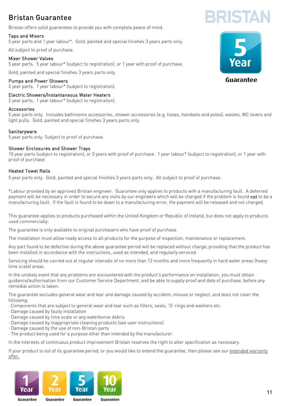### Bristan Guarantee

Bristan offers solid guarantees to provide you with complete peace of mind.

#### Taps and Mixers

5 year parts and 1 year labour\*. Gold, painted and special finishes 3 years parts only.

All subject to proof of purchase.

#### Mixer Shower Valves

5 year parts. 5 year labour\* (subject to registration), or 1 year with proof of purchase.

Gold, painted and special finishes 3 years parts only.

#### Pumps and Power Showers

2 year parts. 1 year labour\* (subject to registration).

#### Electric Showers/Instantaneous Water Heaters

2 year parts. 1 year labour\* (subject to registration).

#### Accessories

5 year parts only. Includes bathrooms accessories, shower accessories (e.g. hoses, handsets and poles), wastes, WC levers and light pulls. Gold, painted and special finishes 3 years parts only.

#### **Sanitaryware**

5 year parts only. Subject to proof of purchase.

#### Shower Enclosures and Shower Trays

10 year parts (subject to registration), or 2 years with proof of purchase. 1 year labour\* (subject to registration), or 1 year with proof of purchase.

#### Heated Towel Rails

5 year parts only. Gold, painted and special finishes 3 years parts only. All subject to proof of purchase.

\*Labour provided by an approved Bristan engineer. Guarantee only applies to products with a manufacturing fault. A deferred payment will be necessary in order to secure any visits by our engineers which will be charged if the problem is found not to be a manufacturing fault. If the fault is found to be down to a manufacturing error, the payment will be released and not charged.

This guarantee applies to products purchased within the United Kingdom or Republic of Ireland, but does not apply to products used commercially.

The guarantee is only available to original purchasers who have proof of purchase.

The installation must allow ready access to all products for the purpose of inspection, maintenance or replacement.

Any part found to be defective during the above guarantee period will be replaced without charge, providing that the product has been installed in accordance with the instructions, used as intended, and regularly serviced.

Servicing should be carried out at regular intervals of no more than 12 months and more frequently in hard water areas (heavy lime scale) areas.

In the unlikely event that any problems are encountered with the product's performance on installation, you must obtain guidance/authorisation from our Customer Service Department, and be able to supply proof and date of purchase, before any remedial action is taken.

The guarantee excludes general wear and tear and damage caused by accident, misuse or neglect, and does not cover the following:

- . Components that are subject to general wear and tear such as filters, seals, 'O' rings and washers etc.
- · Damage caused by faulty installation
- · Damage caused by lime scale or any waterborne debris
- · Damage caused by inappropriate cleaning products (see user instructions)
- · Damage caused by the use of non-Bristan parts

· The product being used for a purpose other than intended by the manufacturer.

In the interests of continuous product improvement Bristan reserves the right to alter specification as necessary.

If your product is out of its guarantee period, or you would like to extend the guarantee, then please see our extended warranty offer.





**RISTA**